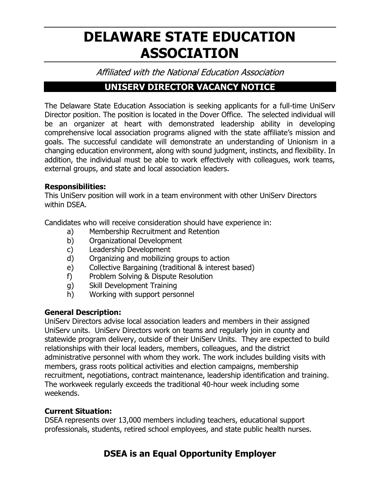# **DELAWARE STATE EDUCATION ASSOCIATION**

Affiliated with the National Education Association

### **UNISERV DIRECTOR VACANCY NOTICE**

The Delaware State Education Association is seeking applicants for a full-time UniServ Director position. The position is located in the Dover Office. The selected individual will be an organizer at heart with demonstrated leadership ability in developing comprehensive local association programs aligned with the state affiliate's mission and goals. The successful candidate will demonstrate an understanding of Unionism in a changing education environment, along with sound judgment, instincts, and flexibility. In addition, the individual must be able to work effectively with colleagues, work teams, external groups, and state and local association leaders.

### **Responsibilities:**

This UniServ position will work in a team environment with other UniServ Directors within DSEA.

Candidates who will receive consideration should have experience in:

- a) Membership Recruitment and Retention
- b) Organizational Development
- c) Leadership Development
- d) Organizing and mobilizing groups to action
- e) Collective Bargaining (traditional & interest based)
- f) Problem Solving & Dispute Resolution
- g) Skill Development Training
- h) Working with support personnel

### **General Description:**

UniServ Directors advise local association leaders and members in their assigned UniServ units. UniServ Directors work on teams and regularly join in county and statewide program delivery, outside of their UniServ Units. They are expected to build relationships with their local leaders, members, colleagues, and the district administrative personnel with whom they work. The work includes building visits with members, grass roots political activities and election campaigns, membership recruitment, negotiations, contract maintenance, leadership identification and training. The workweek regularly exceeds the traditional 40-hour week including some weekends.

### **Current Situation:**

DSEA represents over 13,000 members including teachers, educational support professionals, students, retired school employees, and state public health nurses.

## **DSEA is an Equal Opportunity Employer**